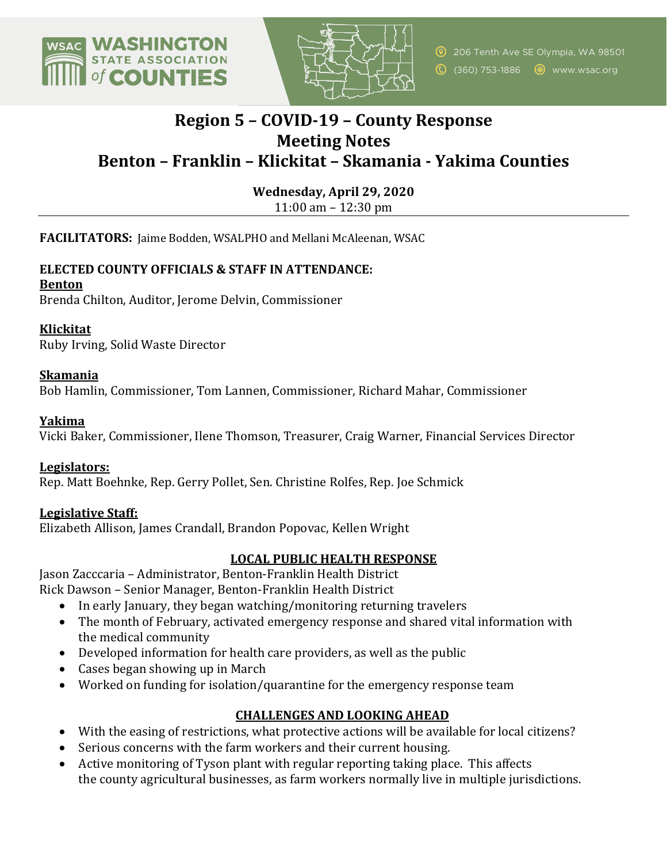



<sup>2</sup> 206 Tenth Ave SE Olympia, WA 98501 (360) 753-1886 www.wsac.org

# **Region 5 – COVID-19 – County Response Meeting Notes Benton – Franklin – Klickitat – Skamania - Yakima Counties**

**Wednesday, April 29, 2020**

11:00 am  $-$  12:30 pm

FACILITATORS: Jaime Bodden, WSALPHO and Mellani McAleenan, WSAC

## **ELECTED COUNTY OFFICIALS & STAFF IN ATTENDANCE:**

**Benton**

Brenda Chilton, Auditor, Jerome Delvin, Commissioner

## **Klickitat**

Ruby Irving, Solid Waste Director

## **Skamania**

Bob Hamlin, Commissioner, Tom Lannen, Commissioner, Richard Mahar, Commissioner

## **Yakima**

Vicki Baker, Commissioner, Ilene Thomson, Treasurer, Craig Warner, Financial Services Director

#### **Legislators:**

Rep. Matt Boehnke, Rep. Gerry Pollet, Sen. Christine Rolfes, Rep. Joe Schmick

# **Legislative Staff:**

Elizabeth Allison, James Crandall, Brandon Popovac, Kellen Wright

# LOCAL PUBLIC HEALTH RESPONSE

Jason Zacccaria - Administrator, Benton-Franklin Health District Rick Dawson - Senior Manager, Benton-Franklin Health District

- In early January, they began watching/monitoring returning travelers
- The month of February, activated emergency response and shared vital information with the medical community
- Developed information for health care providers, as well as the public
- Cases began showing up in March
- Worked on funding for isolation/quarantine for the emergency response team

# **CHALLENGES AND LOOKING AHEAD**

- With the easing of restrictions, what protective actions will be available for local citizens?
- Serious concerns with the farm workers and their current housing.
- Active monitoring of Tyson plant with regular reporting taking place. This affects the county agricultural businesses, as farm workers normally live in multiple jurisdictions.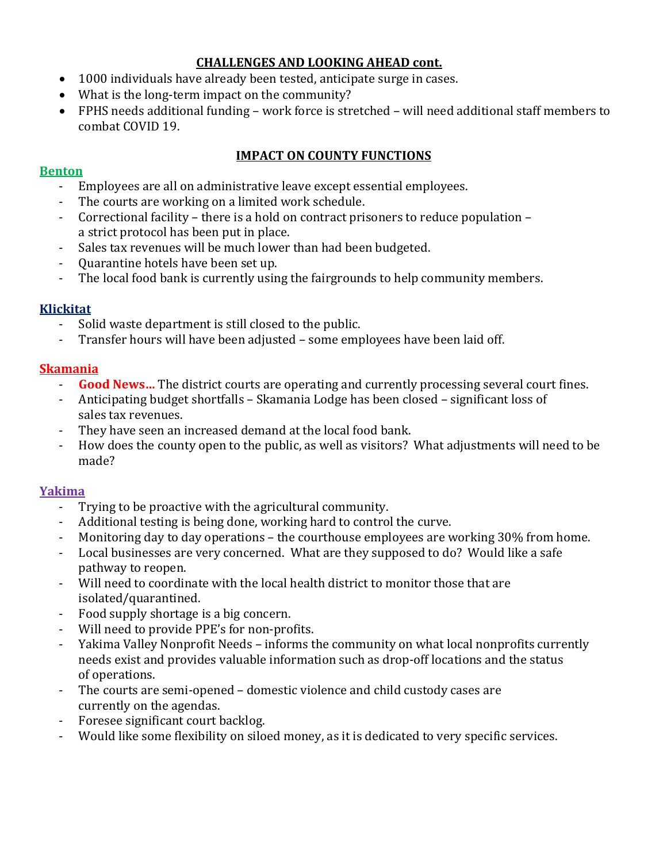# **CHALLENGES AND LOOKING AHEAD cont.**

- 1000 individuals have already been tested, anticipate surge in cases.
- What is the long-term impact on the community?
- FPHS needs additional funding work force is stretched will need additional staff members to combat COVID 19.

# **IMPACT ON COUNTY FUNCTIONS**

#### **Benton**

- Employees are all on administrative leave except essential employees.
- The courts are working on a limited work schedule.
- Correctional facility there is a hold on contract prisoners to reduce population a strict protocol has been put in place.
- Sales tax revenues will be much lower than had been budgeted.
- Ouarantine hotels have been set up.
- The local food bank is currently using the fairgrounds to help community members.

# **Klickitat**

- Solid waste department is still closed to the public.
- Transfer hours will have been adjusted some employees have been laid off.

# **Skamania**

- **Good News...** The district courts are operating and currently processing several court fines.
- Anticipating budget shortfalls Skamania Lodge has been closed significant loss of sales tax revenues.
- They have seen an increased demand at the local food bank.
- How does the county open to the public, as well as visitors? What adjustments will need to be made?

# **Yakima**

- Trying to be proactive with the agricultural community.
- Additional testing is being done, working hard to control the curve.
- Monitoring day to day operations the courthouse employees are working 30% from home.
- Local businesses are very concerned. What are they supposed to do? Would like a safe pathway to reopen.
- Will need to coordinate with the local health district to monitor those that are isolated/quarantined.
- Food supply shortage is a big concern.
- Will need to provide PPE's for non-profits.
- Yakima Valley Nonprofit Needs informs the community on what local nonprofits currently needs exist and provides valuable information such as drop-off locations and the status of operations.
- The courts are semi-opened domestic violence and child custody cases are currently on the agendas.
- Foresee significant court backlog.
- Would like some flexibility on siloed money, as it is dedicated to very specific services.